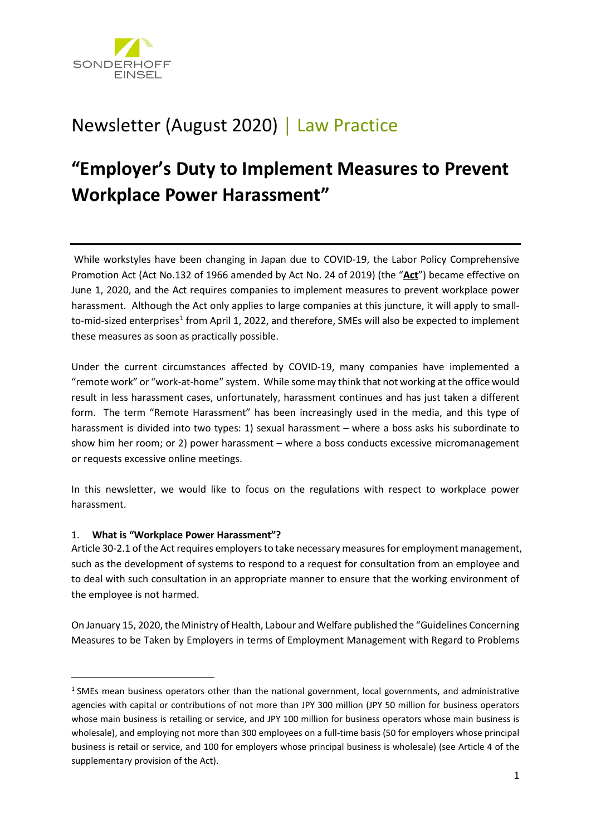

# Newsletter (August 2020) │ Law Practice

# **"Employer's Duty to Implement Measures to Prevent Workplace Power Harassment"**

While workstyles have been changing in Japan due to COVID-19, the Labor Policy Comprehensive Promotion Act (Act No.132 of 1966 amended by Act No. 24 of 2019) (the "**Act**") became effective on June 1, 2020, and the Act requires companies to implement measures to prevent workplace power harassment. Although the Act only applies to large companies at this juncture, it will apply to small-to-mid-sized enterprises<sup>[1](#page-0-0)</sup> from April 1, 2022, and therefore, SMEs will also be expected to implement these measures as soon as practically possible.

Under the current circumstances affected by COVID-19, many companies have implemented a "remote work" or "work-at-home" system. While some may think that not working at the office would result in less harassment cases, unfortunately, harassment continues and has just taken a different form. The term "Remote Harassment" has been increasingly used in the media, and this type of harassment is divided into two types: 1) sexual harassment – where a boss asks his subordinate to show him her room; or 2) power harassment – where a boss conducts excessive micromanagement or requests excessive online meetings.

In this newsletter, we would like to focus on the regulations with respect to workplace power harassment.

# 1. **What is "Workplace Power Harassment"?**

 $\overline{a}$ 

Article 30-2.1 of the Act requires employers to take necessary measures for employment management, such as the development of systems to respond to a request for consultation from an employee and to deal with such consultation in an appropriate manner to ensure that the working environment of the employee is not harmed.

On January 15, 2020, the Ministry of Health, Labour and Welfare published the "Guidelines Concerning Measures to be Taken by Employers in terms of Employment Management with Regard to Problems

<span id="page-0-0"></span> $1$  SMEs mean business operators other than the national government, local governments, and administrative agencies with capital or contributions of not more than JPY 300 million (JPY 50 million for business operators whose main business is retailing or service, and JPY 100 million for business operators whose main business is wholesale), and employing not more than 300 employees on a full-time basis (50 for employers whose principal business is retail or service, and 100 for employers whose principal business is wholesale) (see Article 4 of the supplementary provision of the Act).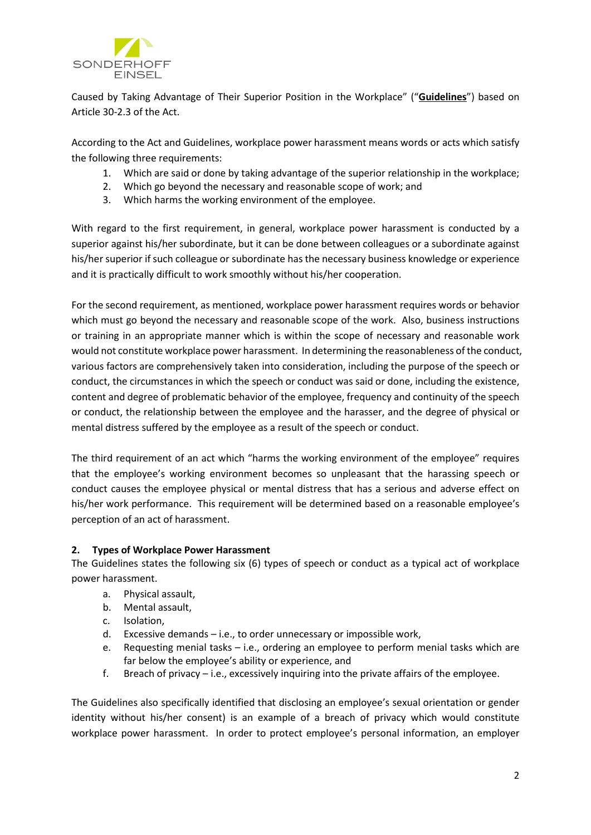

Caused by Taking Advantage of Their Superior Position in the Workplace" ("**Guidelines**") based on Article 30-2.3 of the Act.

According to the Act and Guidelines, workplace power harassment means words or acts which satisfy the following three requirements:

- 1. Which are said or done by taking advantage of the superior relationship in the workplace;
- 2. Which go beyond the necessary and reasonable scope of work; and
- 3. Which harms the working environment of the employee.

With regard to the first requirement, in general, workplace power harassment is conducted by a superior against his/her subordinate, but it can be done between colleagues or a subordinate against his/her superior if such colleague or subordinate has the necessary business knowledge or experience and it is practically difficult to work smoothly without his/her cooperation.

For the second requirement, as mentioned, workplace power harassment requires words or behavior which must go beyond the necessary and reasonable scope of the work. Also, business instructions or training in an appropriate manner which is within the scope of necessary and reasonable work would not constitute workplace power harassment. In determining the reasonableness of the conduct, various factors are comprehensively taken into consideration, including the purpose of the speech or conduct, the circumstances in which the speech or conduct was said or done, including the existence, content and degree of problematic behavior of the employee, frequency and continuity of the speech or conduct, the relationship between the employee and the harasser, and the degree of physical or mental distress suffered by the employee as a result of the speech or conduct.

The third requirement of an act which "harms the working environment of the employee" requires that the employee's working environment becomes so unpleasant that the harassing speech or conduct causes the employee physical or mental distress that has a serious and adverse effect on his/her work performance. This requirement will be determined based on a reasonable employee's perception of an act of harassment.

# **2. Types of Workplace Power Harassment**

The Guidelines states the following six (6) types of speech or conduct as a typical act of workplace power harassment.

- a. Physical assault,
- b. Mental assault,
- c. Isolation,
- d. Excessive demands i.e., to order unnecessary or impossible work,
- e. Requesting menial tasks i.e., ordering an employee to perform menial tasks which are far below the employee's ability or experience, and
- f. Breach of privacy i.e., excessively inquiring into the private affairs of the employee.

The Guidelines also specifically identified that disclosing an employee's sexual orientation or gender identity without his/her consent) is an example of a breach of privacy which would constitute workplace power harassment. In order to protect employee's personal information, an employer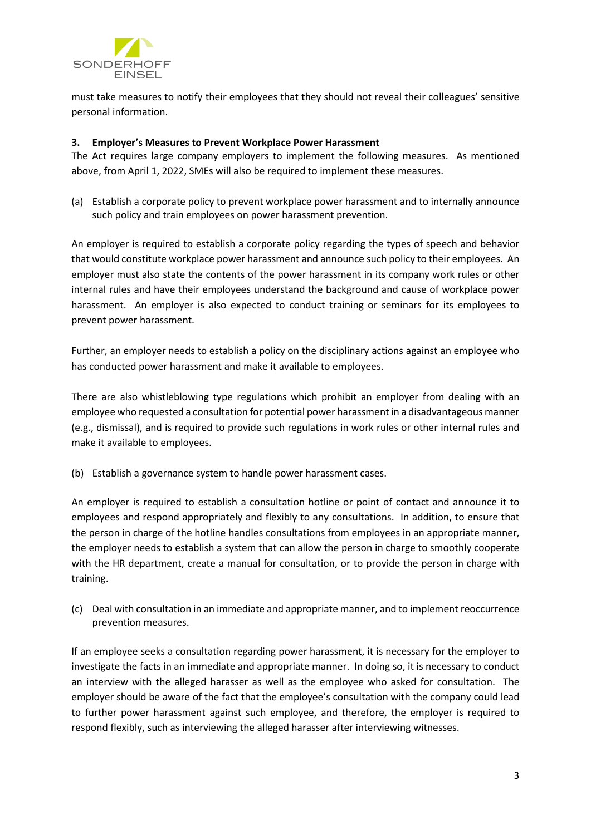

must take measures to notify their employees that they should not reveal their colleagues' sensitive personal information.

### **3. Employer's Measures to Prevent Workplace Power Harassment**

The Act requires large company employers to implement the following measures. As mentioned above, from April 1, 2022, SMEs will also be required to implement these measures.

(a) Establish a corporate policy to prevent workplace power harassment and to internally announce such policy and train employees on power harassment prevention.

An employer is required to establish a corporate policy regarding the types of speech and behavior that would constitute workplace power harassment and announce such policy to their employees. An employer must also state the contents of the power harassment in its company work rules or other internal rules and have their employees understand the background and cause of workplace power harassment. An employer is also expected to conduct training or seminars for its employees to prevent power harassment.

Further, an employer needs to establish a policy on the disciplinary actions against an employee who has conducted power harassment and make it available to employees.

There are also whistleblowing type regulations which prohibit an employer from dealing with an employee who requested a consultation for potential power harassment in a disadvantageous manner (e.g., dismissal), and is required to provide such regulations in work rules or other internal rules and make it available to employees.

(b) Establish a governance system to handle power harassment cases.

An employer is required to establish a consultation hotline or point of contact and announce it to employees and respond appropriately and flexibly to any consultations. In addition, to ensure that the person in charge of the hotline handles consultations from employees in an appropriate manner, the employer needs to establish a system that can allow the person in charge to smoothly cooperate with the HR department, create a manual for consultation, or to provide the person in charge with training.

(c) Deal with consultation in an immediate and appropriate manner, and to implement reoccurrence prevention measures.

If an employee seeks a consultation regarding power harassment, it is necessary for the employer to investigate the facts in an immediate and appropriate manner. In doing so, it is necessary to conduct an interview with the alleged harasser as well as the employee who asked for consultation. The employer should be aware of the fact that the employee's consultation with the company could lead to further power harassment against such employee, and therefore, the employer is required to respond flexibly, such as interviewing the alleged harasser after interviewing witnesses.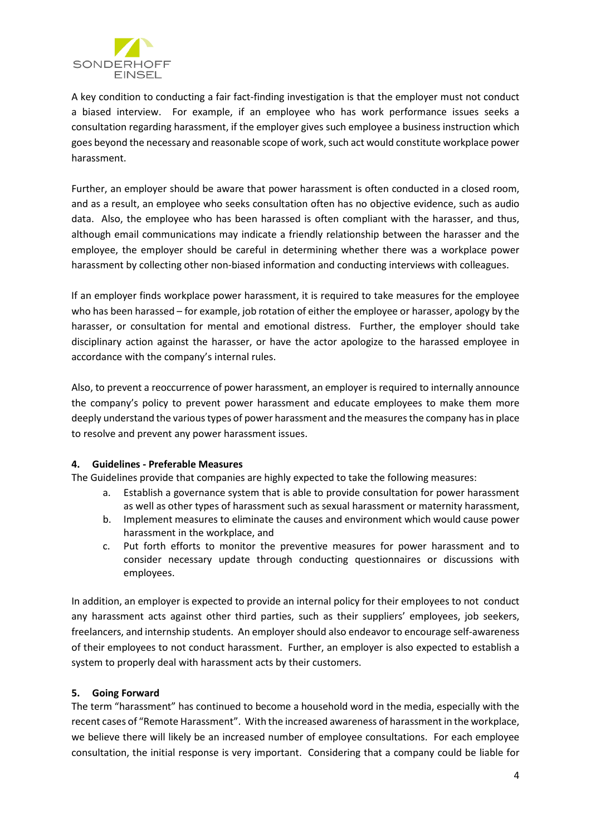

A key condition to conducting a fair fact-finding investigation is that the employer must not conduct a biased interview. For example, if an employee who has work performance issues seeks a consultation regarding harassment, if the employer gives such employee a business instruction which goes beyond the necessary and reasonable scope of work, such act would constitute workplace power harassment.

Further, an employer should be aware that power harassment is often conducted in a closed room, and as a result, an employee who seeks consultation often has no objective evidence, such as audio data. Also, the employee who has been harassed is often compliant with the harasser, and thus, although email communications may indicate a friendly relationship between the harasser and the employee, the employer should be careful in determining whether there was a workplace power harassment by collecting other non-biased information and conducting interviews with colleagues.

If an employer finds workplace power harassment, it is required to take measures for the employee who has been harassed – for example, job rotation of either the employee or harasser, apology by the harasser, or consultation for mental and emotional distress. Further, the employer should take disciplinary action against the harasser, or have the actor apologize to the harassed employee in accordance with the company's internal rules.

Also, to prevent a reoccurrence of power harassment, an employer is required to internally announce the company's policy to prevent power harassment and educate employees to make them more deeply understand the various types of power harassment and the measures the company has in place to resolve and prevent any power harassment issues.

# **4. Guidelines - Preferable Measures**

The Guidelines provide that companies are highly expected to take the following measures:

- a. Establish a governance system that is able to provide consultation for power harassment as well as other types of harassment such as sexual harassment or maternity harassment,
- b. Implement measures to eliminate the causes and environment which would cause power harassment in the workplace, and
- c. Put forth efforts to monitor the preventive measures for power harassment and to consider necessary update through conducting questionnaires or discussions with employees.

In addition, an employer is expected to provide an internal policy for their employees to not conduct any harassment acts against other third parties, such as their suppliers' employees, job seekers, freelancers, and internship students. An employer should also endeavor to encourage self-awareness of their employees to not conduct harassment. Further, an employer is also expected to establish a system to properly deal with harassment acts by their customers.

# **5. Going Forward**

The term "harassment" has continued to become a household word in the media, especially with the recent cases of "Remote Harassment". With the increased awareness of harassment in the workplace, we believe there will likely be an increased number of employee consultations. For each employee consultation, the initial response is very important. Considering that a company could be liable for